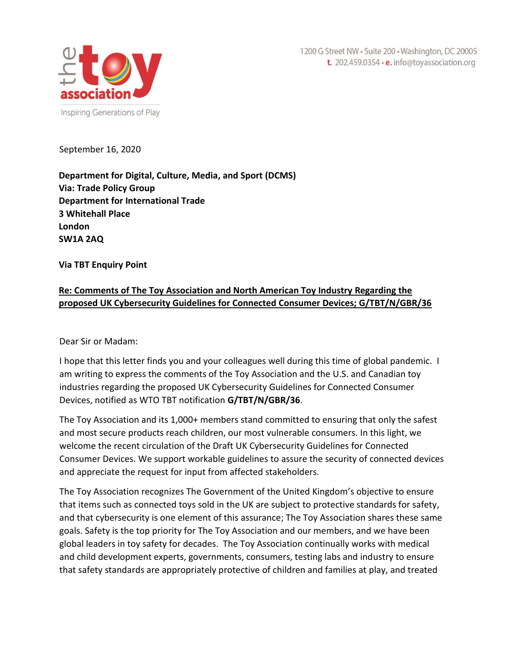1200 G Street NW · Suite 200 · Washington, DC 20005 t. 202.459.0354 · e. info@toyassociation.org



September 16, 2020

**Department for Digital, Culture, Media, and Sport (DCMS) Via: Trade Policy Group Department for International Trade 3 Whitehall Place London SW1A 2AQ**

**Via TBT Enquiry Point**

## **Re: Comments of The Toy Association and North American Toy Industry Regarding the proposed UK Cybersecurity Guidelines for Connected Consumer Devices; G/TBT/N/GBR/36**

Dear Sir or Madam:

I hope that this letter finds you and your colleagues well during this time of global pandemic. I am writing to express the comments of the Toy Association and the U.S. and Canadian toy industries regarding the proposed UK Cybersecurity Guidelines for Connected Consumer Devices, notified as WTO TBT notification **G/TBT/N/GBR/36**.

The Toy Association and its 1,000+ members stand committed to ensuring that only the safest and most secure products reach children, our most vulnerable consumers. In this light, we welcome the recent circulation of the Draft UK Cybersecurity Guidelines for Connected Consumer Devices. We support workable guidelines to assure the security of connected devices and appreciate the request for input from affected stakeholders.

The Toy Association recognizes The Government of the United Kingdom's objective to ensure that items such as connected toys sold in the UK are subject to protective standards for safety, and that cybersecurity is one element of this assurance; The Toy Association shares these same goals. Safety is the top priority for The Toy Association and our members, and we have been global leaders in toy safety for decades. The Toy Association continually works with medical and child development experts, governments, consumers, testing labs and industry to ensure that safety standards are appropriately protective of children and families at play, and treated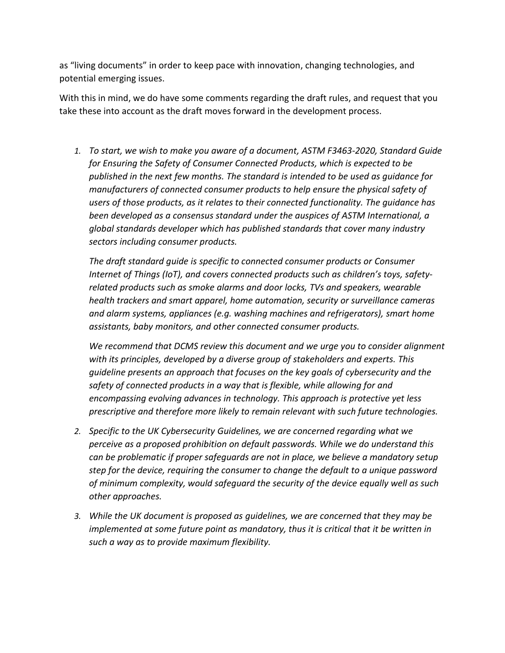as "living documents" in order to keep pace with innovation, changing technologies, and potential emerging issues.

With this in mind, we do have some comments regarding the draft rules, and request that you take these into account as the draft moves forward in the development process.

*1. To start, we wish to make you aware of a document, ASTM F3463-2020, Standard Guide for Ensuring the Safety of Consumer Connected Products, which is expected to be published in the next few months. The standard is intended to be used as guidance for manufacturers of connected consumer products to help ensure the physical safety of users of those products, as it relates to their connected functionality. The guidance has been developed as a consensus standard under the auspices of ASTM International, a global standards developer which has published standards that cover many industry sectors including consumer products.* 

*The draft standard guide is specific to connected consumer products or Consumer Internet of Things (IoT), and covers connected products such as children's toys, safetyrelated products such as smoke alarms and door locks, TVs and speakers, wearable health trackers and smart apparel, home automation, security or surveillance cameras and alarm systems, appliances (e.g. washing machines and refrigerators), smart home assistants, baby monitors, and other connected consumer products.* 

*We recommend that DCMS review this document and we urge you to consider alignment with its principles, developed by a diverse group of stakeholders and experts. This guideline presents an approach that focuses on the key goals of cybersecurity and the safety of connected products in a way that is flexible, while allowing for and encompassing evolving advances in technology. This approach is protective yet less prescriptive and therefore more likely to remain relevant with such future technologies.*

- *2. Specific to the UK Cybersecurity Guidelines, we are concerned regarding what we perceive as a proposed prohibition on default passwords. While we do understand this can be problematic if proper safeguards are not in place, we believe a mandatory setup step for the device, requiring the consumer to change the default to a unique password of minimum complexity, would safeguard the security of the device equally well as such other approaches.*
- *3. While the UK document is proposed as guidelines, we are concerned that they may be implemented at some future point as mandatory, thus it is critical that it be written in such a way as to provide maximum flexibility.*